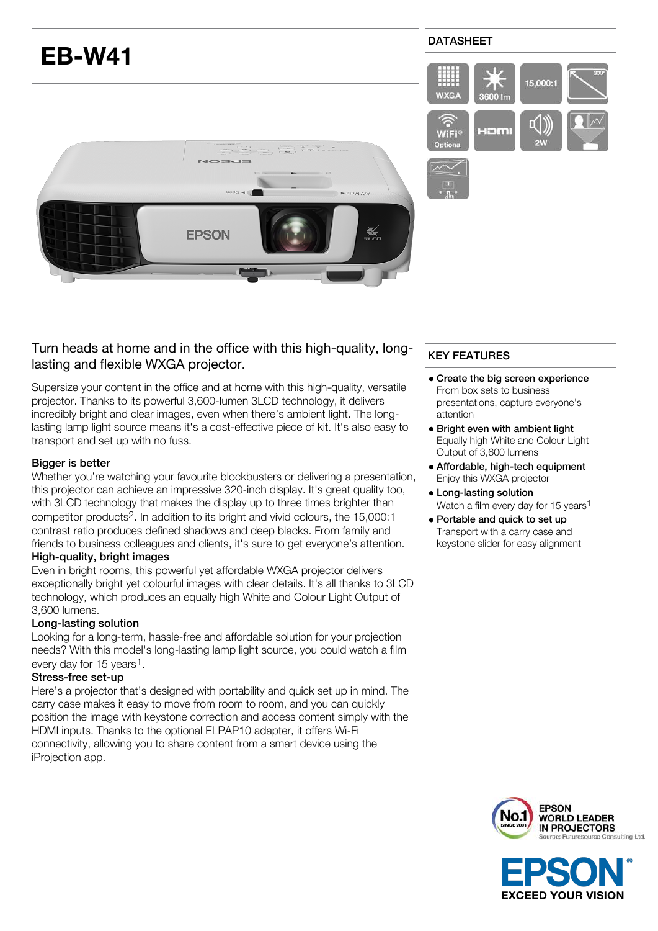

# Turn heads at home and in the office with this high-quality, longlasting and flexible WXGA projector.

Supersize your content in the office and at home with this high-quality, versatile projector. Thanks to its powerful 3,600-lumen 3LCD technology, it delivers incredibly bright and clear images, even when there's ambient light. The longlasting lamp light source means it's a cost-effective piece of kit. It's also easy to transport and set up with no fuss.

## Bigger is better

Whether you're watching your favourite blockbusters or delivering a presentation, this projector can achieve an impressive 320-inch display. It's great quality too, with 3LCD technology that makes the display up to three times brighter than competitor products2. In addition to its bright and vivid colours, the 15,000:1 contrast ratio produces defined shadows and deep blacks. From family and friends to business colleagues and clients, it's sure to get everyone's attention.

# High-quality, bright images

Even in bright rooms, this powerful yet affordable WXGA projector delivers exceptionally bright yet colourful images with clear details. It's all thanks to 3LCD technology, which produces an equally high White and Colour Light Output of 3,600 lumens.

### Long-lasting solution

Looking for a long-term, hassle-free and affordable solution for your projection needs? With this model's long-lasting lamp light source, you could watch a film every day for 15 years<sup>1</sup>.

### Stress-free set-up

Here's a projector that's designed with portability and quick set up in mind. The carry case makes it easy to move from room to room, and you can quickly position the image with keystone correction and access content simply with the HDMI inputs. Thanks to the optional ELPAP10 adapter, it offers Wi-Fi connectivity, allowing you to share content from a smart device using the iProjection app.

# KEY FEATURES

- Create the big screen experience From box sets to business presentations, capture everyone's attention
- **Bright even with ambient light** Equally high White and Colour Light Output of 3,600 lumens
- Affordable, high-tech equipment Enjoy this WXGA projector
- Long-lasting solution Watch a film every day for 15 years<sup>1</sup>
- Portable and quick to set up Transport with a carry case and keystone slider for easy alignment



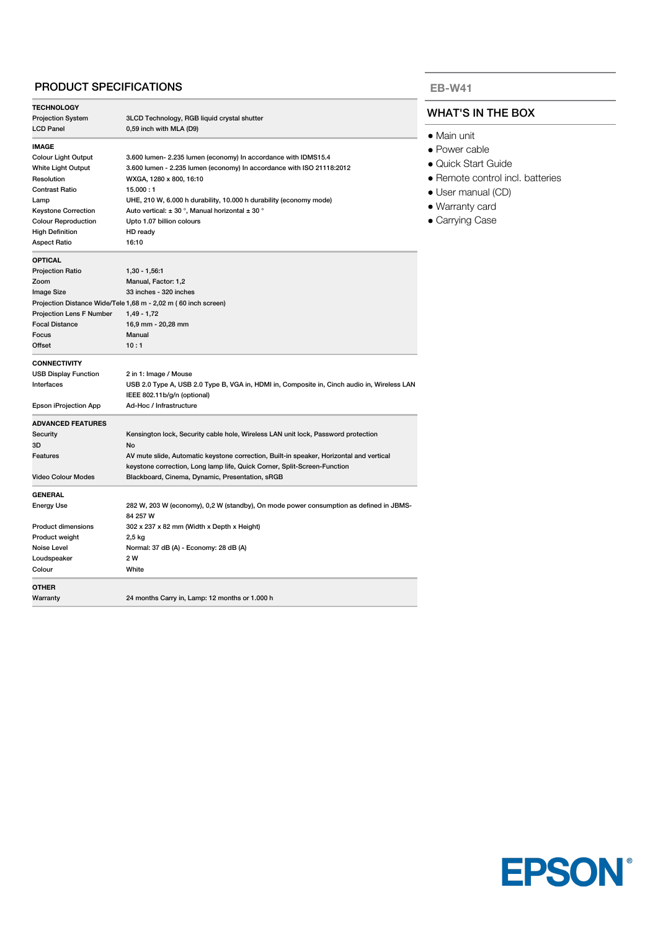### PRODUCT SPECIFICATIONS

| <b>TECHNOLOGY</b>               |                                                                                             |  |
|---------------------------------|---------------------------------------------------------------------------------------------|--|
| <b>Projection System</b>        | 3LCD Technology, RGB liquid crystal shutter                                                 |  |
| <b>LCD Panel</b>                | 0,59 inch with MLA (D9)                                                                     |  |
| <b>IMAGE</b>                    |                                                                                             |  |
| <b>Colour Light Output</b>      | 3.600 lumen- 2.235 lumen (economy) In accordance with IDMS15.4                              |  |
| <b>White Light Output</b>       | 3.600 lumen - 2.235 lumen (economy) In accordance with ISO 21118:2012                       |  |
| Resolution                      | WXGA, 1280 x 800, 16:10                                                                     |  |
| <b>Contrast Ratio</b>           | 15.000:1                                                                                    |  |
| Lamp                            | UHE, 210 W, 6.000 h durability, 10.000 h durability (economy mode)                          |  |
| <b>Keystone Correction</b>      | Auto vertical: $\pm$ 30 °, Manual horizontal $\pm$ 30 °                                     |  |
| <b>Colour Reproduction</b>      | Upto 1.07 billion colours                                                                   |  |
| <b>High Definition</b>          | HD ready                                                                                    |  |
| <b>Aspect Ratio</b>             | 16:10                                                                                       |  |
| <b>OPTICAL</b>                  |                                                                                             |  |
| <b>Projection Ratio</b>         | $1,30 - 1,56.1$                                                                             |  |
| Zoom                            | Manual, Factor: 1,2                                                                         |  |
| Image Size                      | 33 inches - 320 inches                                                                      |  |
|                                 | Projection Distance Wide/Tele 1,68 m - 2,02 m (60 inch screen)                              |  |
| <b>Projection Lens F Number</b> | $1,49 - 1,72$                                                                               |  |
| <b>Focal Distance</b>           | 16,9 mm - 20,28 mm                                                                          |  |
| Focus                           | Manual                                                                                      |  |
| Offset                          | 10:1                                                                                        |  |
| <b>CONNECTIVITY</b>             |                                                                                             |  |
| <b>USB Display Function</b>     | 2 in 1: Image / Mouse                                                                       |  |
| Interfaces                      | USB 2.0 Type A, USB 2.0 Type B, VGA in, HDMI in, Composite in, Cinch audio in, Wireless LAN |  |
|                                 | IEEE 802.11b/g/n (optional)                                                                 |  |
| Epson iProjection App           | Ad-Hoc / Infrastructure                                                                     |  |
| <b>ADVANCED FEATURES</b>        |                                                                                             |  |
| Security                        | Kensington lock, Security cable hole, Wireless LAN unit lock, Password protection           |  |
| 3D                              | <b>No</b>                                                                                   |  |
| Features                        | AV mute slide, Automatic keystone correction, Built-in speaker, Horizontal and vertical     |  |
|                                 | keystone correction, Long lamp life, Quick Corner, Split-Screen-Function                    |  |
| <b>Video Colour Modes</b>       | Blackboard, Cinema, Dynamic, Presentation, sRGB                                             |  |
| <b>GENERAL</b>                  |                                                                                             |  |
| <b>Energy Use</b>               | 282 W, 203 W (economy), 0,2 W (standby), On mode power consumption as defined in JBMS-      |  |
|                                 | 84 257 W                                                                                    |  |
| <b>Product dimensions</b>       | 302 x 237 x 82 mm (Width x Depth x Height)                                                  |  |
| Product weight                  | 2,5 kg                                                                                      |  |
| Noise Level                     | Normal: 37 dB (A) - Economy: 28 dB (A)                                                      |  |
| Loudspeaker                     | 2 W                                                                                         |  |
| Colour                          | White                                                                                       |  |
| <b>OTHER</b>                    |                                                                                             |  |
| Warranty                        | 24 months Carry in, Lamp: 12 months or 1.000 h                                              |  |
|                                 |                                                                                             |  |

#### **EB-W41**

# WHAT'S IN THE BOX

- Main unit
- Power cable
- Quick Start Guide
- Remote control incl. batteries
- User manual (CD)
- Warranty card
- Carrying Case